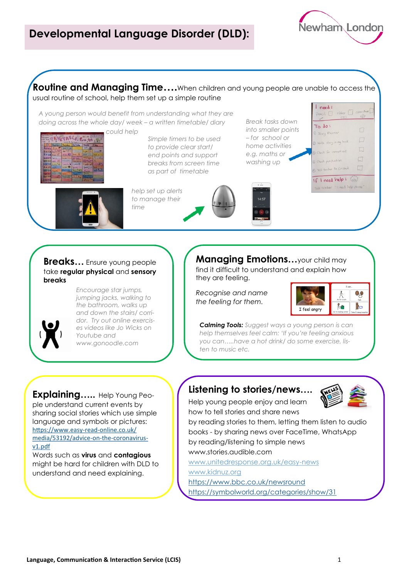**Routine and Managing Time….**When children and young people are unable to access the usual routine of school, help them set up a simple routine

*A young person would benefit from understanding what they are doing across the whole day/ week – a written timetable/ diary* 



*Simple timers to be used to provide clear start/ end points and support breaks from screen time as part of timetable*

*help set up alerts to manage their time*



*Break tasks down*  To do: *into smaller points – for school or home activities e.g. maths or washing up*



Newham London

## **Breaks…** Ensure young people take **regular physical** and **sensory breaks**



*Encourage star jumps, jumping jacks, walking to the bathroom, walks up and down the stairs/ corridor. Try out online exercises videos like Jo Wicks on Youtube and www.gonoodle.com* 

**Managing Emotions…**your child may

find it difficult to understand and explain how they are feeling.

*Recognise and name the feeling for them.*



*Calming Tools: Suggest ways a young person is can help themselves feel calm: 'If you're feeling anxious you can…..have a hot drink/ do some exercise, listen to music etc.*

**Explaining…..** Help Young People understand current events by sharing social stories which use simple language and symbols or pictures: [https://www.easy](https://www.easy-read-online.co.uk/media/53192/advice-on-the-coronavirus-v1.pdf)-read-online.co.uk/ [media/53192/advice](https://www.easy-read-online.co.uk/media/53192/advice-on-the-coronavirus-v1.pdf)-on-the-coronavirus[v1.pdf](https://www.easy-read-online.co.uk/media/53192/advice-on-the-coronavirus-v1.pdf)

Words such as **virus** and **contagious**  might be hard for children with DLD to understand and need explaining.

## **Listening to stories/news….**



Help young people enjoy and learn how to tell stories and share news

by reading stories to them, letting them listen to audio books - by sharing news over FaceTime, WhatsApp by reading/listening to simple news

www.stories.audible.com

www.unitedresponse.org.uk/easy-news [www.kidnuz.org](http://www.kidnuz.org) <https://www.bbc.co.uk/newsround>

<https://symbolworld.org/categories/show/31>